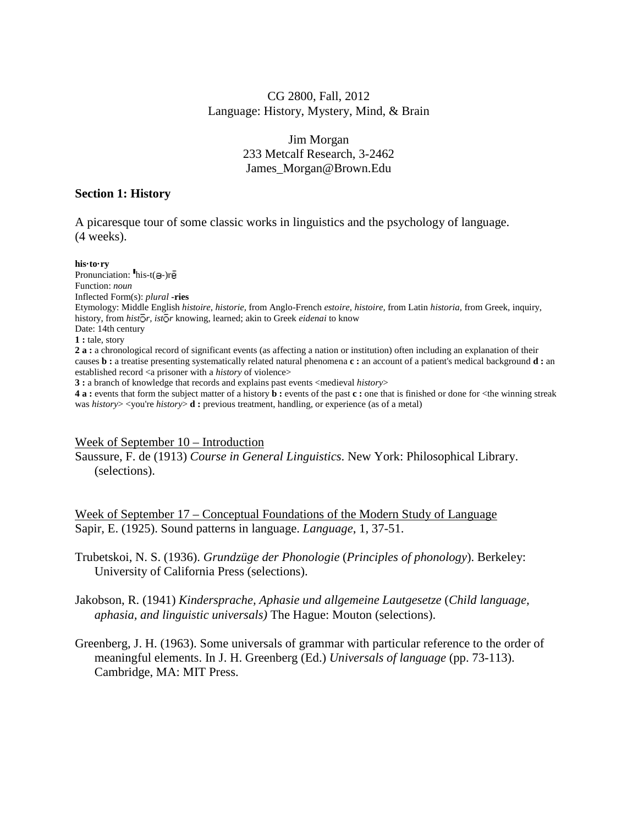# CG 2800, Fall, 2012 Language: History, Mystery, Mind, & Brain

# Jim Morgan 233 Metcalf Research, 3-2462 James\_Morgan@Brown.Edu

### **Section 1: History**

A picaresque tour of some classic works in linguistics and the psychology of language. (4 weeks).

#### **his·to·ry**

Pronunciation:  $\mathbf{h}$ is-t(a-)r $\bar{\mathbf{e}}$ Function: *noun* Inflected Form(s): *plural* **-ries** Etymology: Middle English *histoire, historie,* from Anglo-French *estoire, histoire,* from Latin *historia,* from Greek, inquiry, history, from *histor*, *istor* knowing, learned; akin to Greek *eidenai* to know Date: 14th century **1 :** tale, story **2 a :** a chronological record of significant events (as affecting a nation or institution) often including an explanation of their causes **b :** a treatise presenting systematically related natural phenomena **c :** an account of a patient's medical background **d :** an established record <a prisoner with a *history* of violence> **3 :** a branch of knowledge that records and explains past events <medieval *history*> **4 a :** events that form the subject matter of a history **b :** events of the past **c :** one that is finished or done for <the winning streak was *history*> <you're *history*> **d** : previous treatment, handling, or experience (as of a metal)

#### Week of September 10 – Introduction

Saussure, F. de (1913) *Course in General Linguistics*. New York: Philosophical Library. (selections).

Week of September 17 – Conceptual Foundations of the Modern Study of Language Sapir, E. (1925). Sound patterns in language. *Language*, 1, 37-51.

Trubetskoi, N. S. (1936). *Grundzüge der Phonologie* (*Principles of phonology*). Berkeley: University of California Press (selections).

Jakobson, R. (1941) *Kindersprache, Aphasie und allgemeine Lautgesetze* (*Child language, aphasia, and linguistic universals)* The Hague: Mouton (selections).

Greenberg, J. H. (1963). Some universals of grammar with particular reference to the order of meaningful elements. In J. H. Greenberg (Ed.) *Universals of language* (pp. 73-113). Cambridge, MA: MIT Press.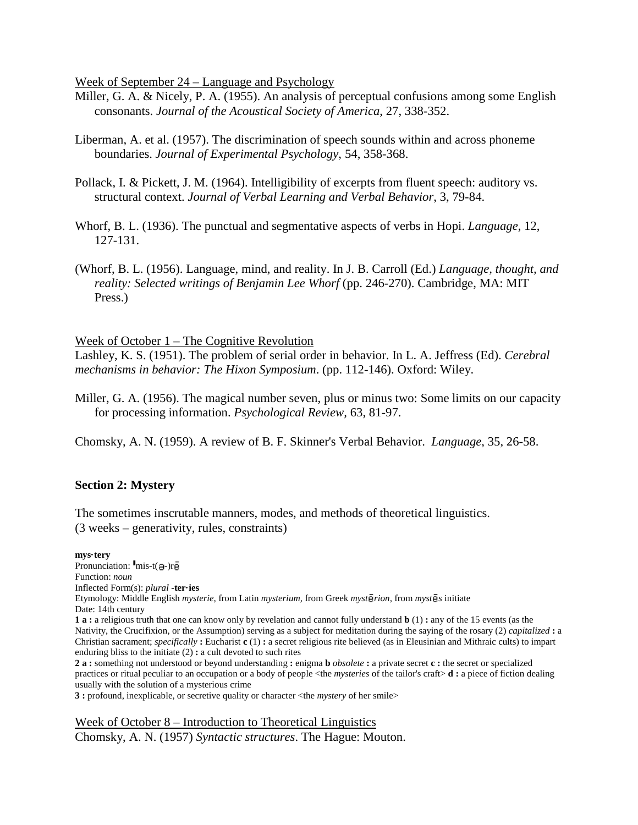Week of September 24 – Language and Psychology

- Miller, G. A. & Nicely, P. A. (1955). An analysis of perceptual confusions among some English consonants. *Journal of the Acoustical Society of America*, 27, 338-352.
- Liberman, A. et al. (1957). The discrimination of speech sounds within and across phoneme boundaries. *Journal of Experimental Psychology*, 54, 358-368.
- Pollack, I. & Pickett, J. M. (1964). Intelligibility of excerpts from fluent speech: auditory vs. structural context. *Journal of Verbal Learning and Verbal Behavior*, 3, 79-84.
- Whorf, B. L. (1936). The punctual and segmentative aspects of verbs in Hopi. *Language*, 12, 127-131.
- (Whorf, B. L. (1956). Language, mind, and reality. In J. B. Carroll (Ed.) *Language, thought, and reality: Selected writings of Benjamin Lee Whorf (pp. 246-270). Cambridge, MA: MIT* Press.)

Week of October 1 – The Cognitive Revolution

Lashley, K. S. (1951). The problem of serial order in behavior. In L. A. Jeffress (Ed). *Cerebral mechanisms in behavior: The Hixon Symposium*. (pp. 112-146). Oxford: Wiley.

Miller, G. A. (1956). The magical number seven, plus or minus two: Some limits on our capacity for processing information. *Psychological Review,* 63, 81-97.

Chomsky, A. N. (1959). A review of B. F. Skinner's Verbal Behavior. *Language*, 35, 26-58.

# **Section 2: Mystery**

The sometimes inscrutable manners, modes, and methods of theoretical linguistics. (3 weeks – generativity, rules, constraints)

#### **mys·tery**

Pronunciation:  $\mathbf{m}$ is-t(a-)re Function: *noun* Inflected Form(s): *plural* **-ter·ies** Etymology: Middle English *mysterie,* from Latin *mysterium,* from Greek *myst rion,* from *myst s* initiate Date: 14th century **1 a :** a religious truth that one can know only by revelation and cannot fully understand **b** (1) **:** any of the 15 events (as the Nativity, the Crucifixion, or the Assumption) serving as a subject for meditation during the saying of the rosary (2) *capitalized* **:** a Christian sacrament; *specifically* **:** Eucharist **c** (1) **:** a secret religious rite believed (as in Eleusinian and Mithraic cults) to impart enduring bliss to the initiate (2) **:** a cult devoted to such rites **2 a :** something not understood or beyond understanding **:** enigma **b** *obsolete* **:** a private secret **c :** the secret or specialized practices or ritual peculiar to an occupation or a body of people <the *mysteries* of the tailor's craft> **d :** a piece of fiction dealing usually with the solution of a mysterious crime

**3 :** profound, inexplicable, or secretive quality or character <the *mystery* of her smile>

Week of October 8 – Introduction to Theoretical Linguistics Chomsky, A. N. (1957) *Syntactic structures*. The Hague: Mouton.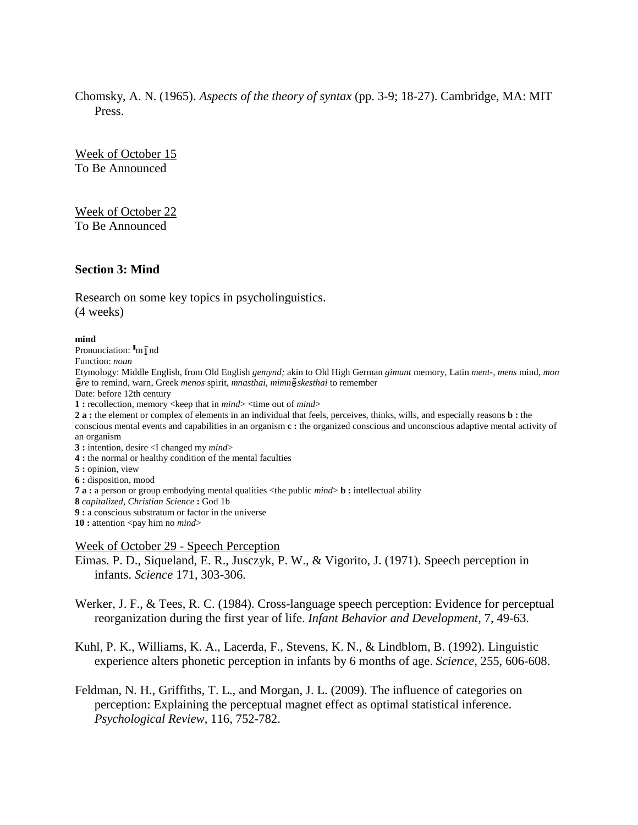Chomsky, A. N. (1965). *Aspects of the theory of syntax* (pp. 3-9; 18-27). Cambridge, MA: MIT Press.

Week of October 15 To Be Announced

Week of October 22 To Be Announced

## **Section 3: Mind**

Research on some key topics in psycholinguistics. (4 weeks)

#### **mind**

Pronunciation:  $\mathbf{I}_m \overline{\mathbf{I}}$  nd

Function: *noun*

Etymology: Middle English, from Old English *gemynd;* akin to Old High German *gimunt* memory, Latin *ment-, mens* mind, *mon*  $\bar{e}$ re to remind, warn, Greek *menos* spirit, *mnasthai, mimn* $\bar{e}$ *skesthai* to remember

Date: before 12th century

**1 :** recollection, memory <keep that in *mind*> <time out of *mind*>

**2 a :** the element or complex of elements in an individual that feels, perceives, thinks, wills, and especially reasons **b :** the conscious mental events and capabilities in an organism **c :** the organized conscious and unconscious adaptive mental activity of an organism

**3 :** intention, desire <I changed my *mind*>

**4 :** the normal or healthy condition of the mental faculties

**5 :** opinion, view

**6 :** disposition, mood

**7 a :** a person or group embodying mental qualities <the public *mind*> **b :** intellectual ability

**8** *capitalized*, *Christian Science* **:** God 1b

**9 :** a conscious substratum or factor in the universe

**10 :** attention <pay him no *mind*>

#### Week of October 29 - Speech Perception

Eimas. P. D., Siqueland, E. R., Jusczyk, P. W., & Vigorito, J. (1971). Speech perception in infants. *Science* 171, 303-306.

Werker, J. F., & Tees, R. C. (1984). Cross-language speech perception: Evidence for perceptual reorganization during the first year of life. *Infant Behavior and Development*, 7, 49-63.

Kuhl, P. K., Williams, K. A., Lacerda, F., Stevens, K. N., & Lindblom, B. (1992). Linguistic experience alters phonetic perception in infants by 6 months of age. *Science*, 255, 606-608.

Feldman, N. H., Griffiths, T. L., and Morgan, J. L. (2009). The influence of categories on perception: Explaining the perceptual magnet effect as optimal statistical inference. *Psychological Review*, 116, 752-782.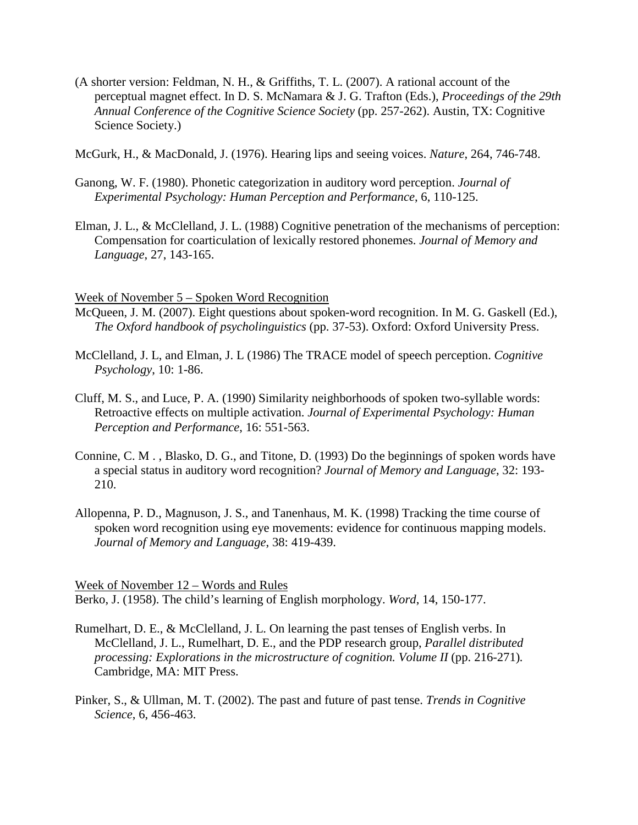(A shorter version: Feldman, N. H., & Griffiths, T. L. (2007). A rational account of the perceptual magnet effect. In D. S. McNamara & J. G. Trafton (Eds.), *Proceedings of the 29th Annual Conference of the Cognitive Science Society* (pp. 257-262). Austin, TX: Cognitive Science Society.)

McGurk, H., & MacDonald, J. (1976). Hearing lips and seeing voices. *Nature*, 264, 746-748.

- Ganong, W. F. (1980). Phonetic categorization in auditory word perception. *Journal of Experimental Psychology: Human Perception and Performance*, 6, 110-125.
- Elman, J. L., & McClelland, J. L. (1988) Cognitive penetration of the mechanisms of perception: Compensation for coarticulation of lexically restored phonemes. *Journal of Memory and Language*, 27, 143-165.

## Week of November 5 – Spoken Word Recognition

- McQueen, J. M. (2007). Eight questions about spoken-word recognition. In M. G. Gaskell (Ed.), *The Oxford handbook of psycholinguistics* (pp. 37-53). Oxford: Oxford University Press.
- McClelland, J. L, and Elman, J. L (1986) The TRACE model of speech perception. *Cognitive Psychology*, 10: 1-86.
- Cluff, M. S., and Luce, P. A. (1990) Similarity neighborhoods of spoken two-syllable words: Retroactive effects on multiple activation. *Journal of Experimental Psychology: Human Perception and Performance*, 16: 551-563.
- Connine, C. M . , Blasko, D. G., and Titone, D. (1993) Do the beginnings of spoken words have a special status in auditory word recognition? *Journal of Memory and Language*, 32: 193- 210.
- Allopenna, P. D., Magnuson, J. S., and Tanenhaus, M. K. (1998) Tracking the time course of spoken word recognition using eye movements: evidence for continuous mapping models. *Journal of Memory and Language*, 38: 419-439.

Week of November 12 – Words and Rules Berko, J. (1958). The child's learning of English morphology. *Word*, 14, 150-177.

- Rumelhart, D. E., & McClelland, J. L. On learning the past tenses of English verbs. In McClelland, J. L., Rumelhart, D. E., and the PDP research group, *Parallel distributed processing: Explorations in the microstructure of cognition. Volume II* (pp. 216-271). Cambridge, MA: MIT Press.
- Pinker, S., & Ullman, M. T. (2002). The past and future of past tense. *Trends in Cognitive Science*, 6, 456-463.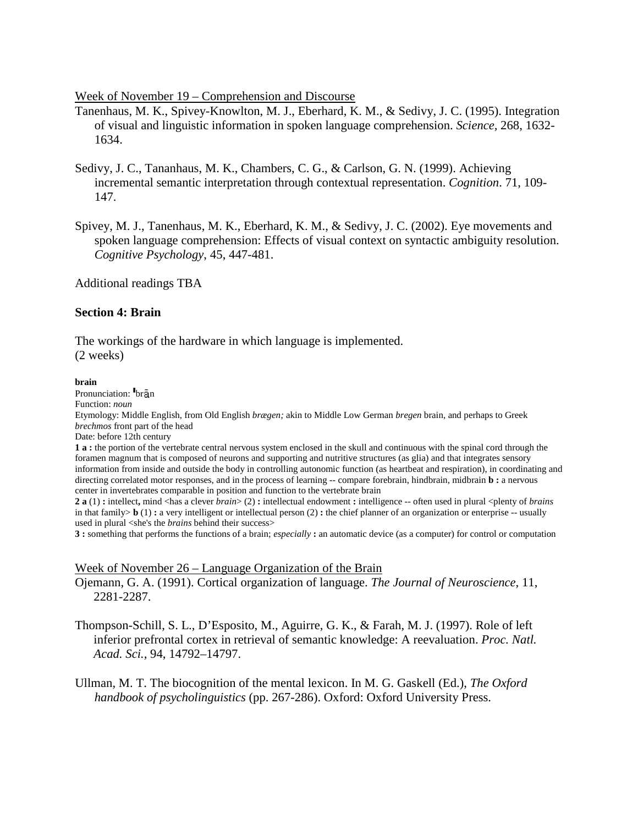Week of November 19 – Comprehension and Discourse

- Tanenhaus, M. K., Spivey-Knowlton, M. J., Eberhard, K. M., & Sedivy, J. C. (1995). Integration of visual and linguistic information in spoken language comprehension. *Science,* 268, 1632- 1634.
- Sedivy, J. C., Tananhaus, M. K., Chambers, C. G., & Carlson, G. N. (1999). Achieving incremental semantic interpretation through contextual representation. *Cognition*. 71, 109- 147.
- Spivey, M. J., Tanenhaus, M. K., Eberhard, K. M., & Sedivy, J. C. (2002). Eye movements and spoken language comprehension: Effects of visual context on syntactic ambiguity resolution. *Cognitive Psychology*, 45, 447-481.

Additional readings TBA

## **Section 4: Brain**

The workings of the hardware in which language is implemented. (2 weeks)

#### **brain**

Pronunciation: bran Function: *noun* Etymology: Middle English, from Old English *brægen;* akin to Middle Low German *bregen* brain, and perhaps to Greek *brechmos* front part of the head Date: before 12th century **1 a :** the portion of the vertebrate central nervous system enclosed in the skull and continuous with the spinal cord through the

foramen magnum that is composed of neurons and supporting and nutritive structures (as glia) and that integrates sensory information from inside and outside the body in controlling autonomic function (as heartbeat and respiration), in coordinating and directing correlated motor responses, and in the process of learning -- compare forebrain, hindbrain, midbrain **b :** a nervous center in invertebrates comparable in position and function to the vertebrate brain

**2 a** (1) **:** intellect**,** mind <has a clever *brain*> (2) **:** intellectual endowment **:** intelligence -- often used in plural <plenty of *brains* in that family> **b** (1) **:** a very intelligent or intellectual person (2) **:** the chief planner of an organization or enterprise -- usually used in plural <she's the *brains* behind their success>

**3 :** something that performs the functions of a brain; *especially* **:** an automatic device (as a computer) for control or computation

#### Week of November 26 – Language Organization of the Brain

Ojemann, G. A. (1991). Cortical organization of language. *The Journal of Neuroscience*, 11, 2281-2287.

- Thompson-Schill, S. L., D'Esposito, M., Aguirre, G. K., & Farah, M. J. (1997). Role of left inferior prefrontal cortex in retrieval of semantic knowledge: A reevaluation. *Proc. Natl. Acad. Sci.,* 94, 14792–14797.
- Ullman, M. T. The biocognition of the mental lexicon. In M. G. Gaskell (Ed.), *The Oxford handbook of psycholinguistics* (pp. 267-286). Oxford: Oxford University Press.